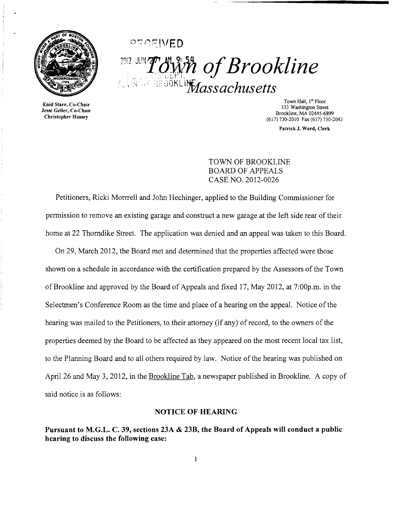

Enid Starr, Co-Chair Jesse Geller, Co-Chair Christopher Hussey

;'')'''- ,.... I 1"\ r" l...\_ 1 \'-... \1 ED\_ <sup>2012</sup> JUNT OWER of Brookline  $\mathbb{C}$ . The shour lift  $M$ assachusetts is

> Town Hall, 1st Floor 333 Washington Street Brookline, MA 02445-6899 (617) 730·2010 Fax (617) 730-2043

> > Patrick J. Ward, Clerk

TOWN OF BROOKLINE BOARD OF APPEALS CASE NO. 2012-0026

Petitioners, Ricki Morrrell and John Hechinger, applied to the Building Commissioner for permission to remove an existing garage and construct a new garage at the left side rear of their home at 22 Thorndike Street. The application was denied and an appeal was taken to this Board.

On 29, March 2012, the Board met and determined that the properties affected were those shown on a schedule in accordance with the certification prepared by the Assessors of the Town of Brookline and approved by the Board of Appeals and fixed 17, May 2012, at 7:00p,m. in the Selectmen's Conference Room as the time and place of a hearing on the appeal. Notice of the hearing was mailed to the Petitioners, to their attorney (if any) of record, to the owners of the properties deemed by the Board to be affected as they appeared on the most recent local tax list, to the Planning Board and to all others required by law. Notice of the hearing was published on April 26 and May 3, 2012, in the Brookline Tab, a newspaper published in Brookline. A copy of said notice is as follows:

## NOTICE OF HEARING

Pursuant to M.G.L. C. 39, sections 23A & 23B, the Board of Appeals will conduct a public hearing to discuss the following case:

 $\mathbf{1}$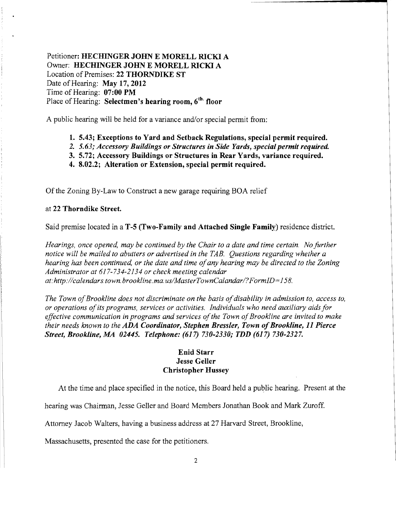Petitioner: HECHINGER JOHN E MORELL RICKI A Owner: HECHINGER JOHN E MORELL RICKI A Location of Premises: 22 THORNDIKE ST Date of Hearing: May 17, 2012 Time of Hearing: 07:00 PM Place of Hearing: Selectmen's hearing room,  $6<sup>th</sup>$  floor

A public hearing will be held for a variance and/or special permit from:

- 1. 5.43; Exceptions to Yard and Setback Regulations, special permit required.
- 2. 5.63; *Accessory Buildings or Structures in Side Yards, special permit required.*
- 3. 5.72; Accessory Buildings or Structures in Rear Yards, variance required.
- 4. 8.02.2; Alteration or Extension, special permit required.

Of the Zoning By-Law to Construct a new garage requiring BOA relief

## at 22 Thorndike Street.

Said premise located in a T-5 (Two-Family and Attached Single Family) residence district.

*Hearings, once opened, may be continued by the Chair to a date and time certain. No further notice will be mailed to abutters or advertised in the TAB. Questions regarding whether a hearing has been continued, or the date and time ofany hearing may be directed to the Zoning Administrator at* 617-734-2134 *or check meeting calendar at: http://calendars.town.brookline.ma.usIMasterTownCalandarl?FormID=*158.

The Town of Brookline does not discriminate on the basis of disability in admission to, access to, *or operations ofits programs, services or activities. Individuals who need auxiliary aidsfor*  effective communication in programs and services of the Town of Brookline are invited to make *their needs known to the ADA Coordinator, Stephen Bressler, Town of Brookline, 11 Pierce Street, Brookline, AM 02445. Telephone:* (617) *730-2330; TDD* (617) *730-2327.* 

## Enid Starr Jesse Geller Christopher Hussey

At the time and place specified in the notice, this Board held a public hearing. Present at the

hearing was Chairman, Jesse Geller and Board Members Jonathan Book and Mark Zuroff.

Attorney Jacob Walters, having a business address at 27 Harvard Street, Brookline,

Massachusetts, presented the case for the petitioners.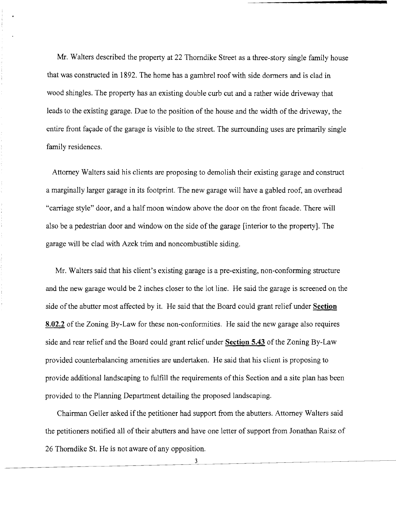Mr. Walters described the property at 22 Thorndike Street as a three-story single family house that was constructed in 1892. The home has a gambrel roof with side dormers and is clad in wood shingles. The property has an existing double curb cut and a rather wide driveway that leads to the existing garage. Due to the position of the house and the width of the driveway, the entire front fayade of the garage is visible to the street. The surrounding uses are primarily single family residences.

Attorney Walters said his clients are proposing to demolish their existing garage and construct a marginally larger garage in its footprint. The new garage will have a gabled roof, an overhead "carriage style" door, and a half moon window above the door on the front facade. There will also be a pedestrian door and window on the side of the garage [interior to the property]. The garage will be clad with Azek trim and noncombustible siding.

Mr. Walters said that his client's existing garage is a pre-existing, non-conforming structure and the new garage would be 2 inches closer to the lot line. He said the garage is screened on the side ofthe abutter most affected by it. He said that the Board could grant relief under **Section 8.02.2** of the Zoning By-Law for these non-conformities. He said the new garage also requires side and rear relief and the Board could grant relief under **Section 5.43** of the Zoning By-Law provided counterbalancing amenities are undertaken. He said that his client is proposing to provide additional landscaping to fulfill the requirements of this Section and a site plan has been provided to the Planning Department detailing the proposed landscaping.

Chairman Geller asked if the petitioner had support from the abutters. Attorney Walters said the petitioners notified all of their abutters and have one letter of support from Jonathan Raisz of 26 Thorndike St. He is not aware of any opposition.

3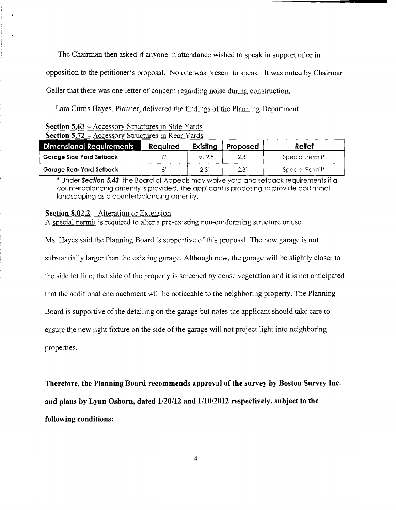The Chairman then asked if anyone in attendance wished to speak in support of or in opposition to the petitioner's proposal. No one was present to speak. It was noted by Chairman Geller that there was one letter of concern regarding noise during construction.

Lara Curtis Hayes, Planner, delivered the findings of the Planning Department.

|  |  | Section 5.63 – Accessory Structures in Side Yards        |  |  |
|--|--|----------------------------------------------------------|--|--|
|  |  | <b>Section 5.72 - Accessory Structures in Rear Vards</b> |  |  |

| <b>Section 5.72 – Accessory Structures in Rear Yards</b> |                 |           |          |                 |  |  |  |  |  |
|----------------------------------------------------------|-----------------|-----------|----------|-----------------|--|--|--|--|--|
| <b>Dimensional Requirements</b>                          | <b>Required</b> | Existing  | Proposed | Relief          |  |  |  |  |  |
| Garage Side Yard Setback                                 |                 | Est. 2.5' | 2.3'     | Special Permit* |  |  |  |  |  |
| Garage Rear Yard Setback                                 |                 | 2.3'      | 2.3'     | Special Permit* |  |  |  |  |  |

\* Under **Section 5.43,** the Board of Appeals may waive yard and setback requirements if a counterbalancing amenity is provided. The applicant is proposing to provide additional landscaping as a counterbalancing amenity.

## **Section 8.02.2** - Alteration or Extension

A special pennit is required to alter a pre-existing non-conforming structure or use.

Ms. Hayes said the Planning Board is supportive of this proposal. The new garage is not substantially larger than the existing garage. Although new, the garage will be slightly closer to the side lot line; that side of the property is screened by dense vegetation and it is not anticipated that the additional encroachment will be noticeable to the neighboring property. The Planning Board is supportive of the detailing on the garage but notes the applicant should take care to ensure the new light fixture on the side of the garage will not project light into neighboring properties.

**Therefore, the Planning Board recommends approval of the survey by Boston Survey Inc. and plans by Lynn Osborn, dated 1120/12 and 1110/2012 respectively, subject to the following conditions:**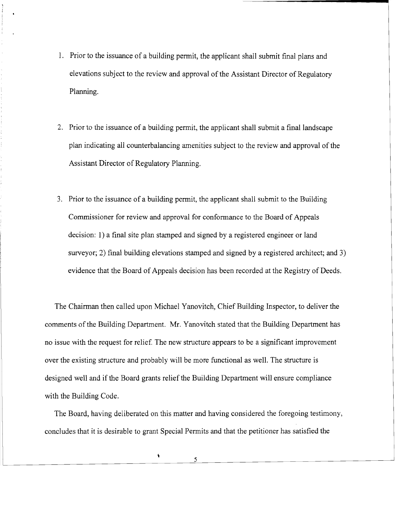- 1. Prior to the issuance of a building permit, the applicant shall submit final plans and elevations subject to the review and approval of the Assistant Director of Regulatory Planning.
- 2. Prior to the issuance of a building permit, the applicant shall submit a final landscape plan indicating all counterbalancing amenities subject to the review and approval of the Assistant Director of Regulatory Planning.
- 3. Prior to the issuance of a building permit, the applicant shall submit to the Building Commissioner for review and approval for conformance to the Board of Appeals decision: 1) a final site plan stamped and signed by a registered engineer or land surveyor; 2) final building elevations stamped and signed by a registered architect; and 3) evidence that the Board of Appeals decision has been recorded at the Registry of Deeds.

The Chairman then called upon Michael Yanovitch, Chief Building Inspector, to deliver the comments of the Building Department. Mr. Yanovitch stated that the Building Department has no issue with the request for relief. The new structure appears to be a significant improvement over the existing structure and probably will be more functional as well. The structure is designed well and if the Board grants relief the Building Department will ensure compliance with the Building Code.

The Board, having deliberated on this matter and having considered the foregoing testimony, concludes that it is desirable to grant Special Permits and that the petitioner has satisfied the

 $\pmb{\ast}$ 

5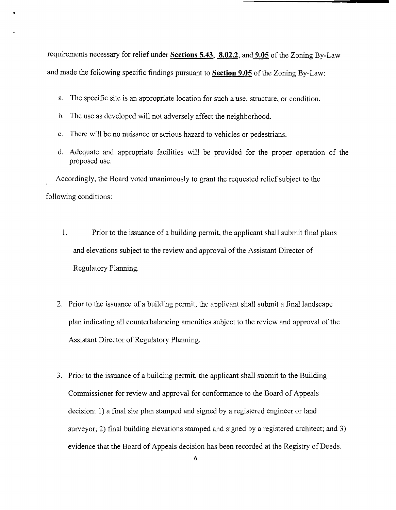requirements necessary for relief under **Sections 5.43, 8.02.2,** and **9.05** of the Zoning By-Law and made the following specific findings pursuant to **Section 9.05** of the Zoning By-Law:

- a. The specific site is an appropriate location for such a use, structure, or condition.
- b. The use as developed will not adversely affect the neighborhood.
- c. There will be no nuisance or serious hazard to vehicles or pedestrians.
- d. Adequate and appropriate facilities will be provided for the proper operation of the proposed use.

Accordingly, the Board voted unanimously to grant the requested relief subject to the following conditions:

- 1. Prior to the issuance of a building permit, the applicant shall submit final plans and elevations subject to the review and approval of the Assistant Director of Regulatory Planning.
- 2. Prior to the issuance of a building permit, the applicant shall submit a final landscape plan indicating all counterbalancing amenities subject to the review and approval of the Assistant Director of Regulatory Planning.
- 3. Prior to the issuance of a building permit, the applicant shall submit to the Building Commissioner for review and approval for conformance to the Board of Appeals decision: 1) a final site plan stamped and signed by a registered engineer or land surveyor; 2) final building elevations stamped and signed by a registered architect; and 3) evidence that the Board of Appeals decision has been recorded at the Registry of Deeds.